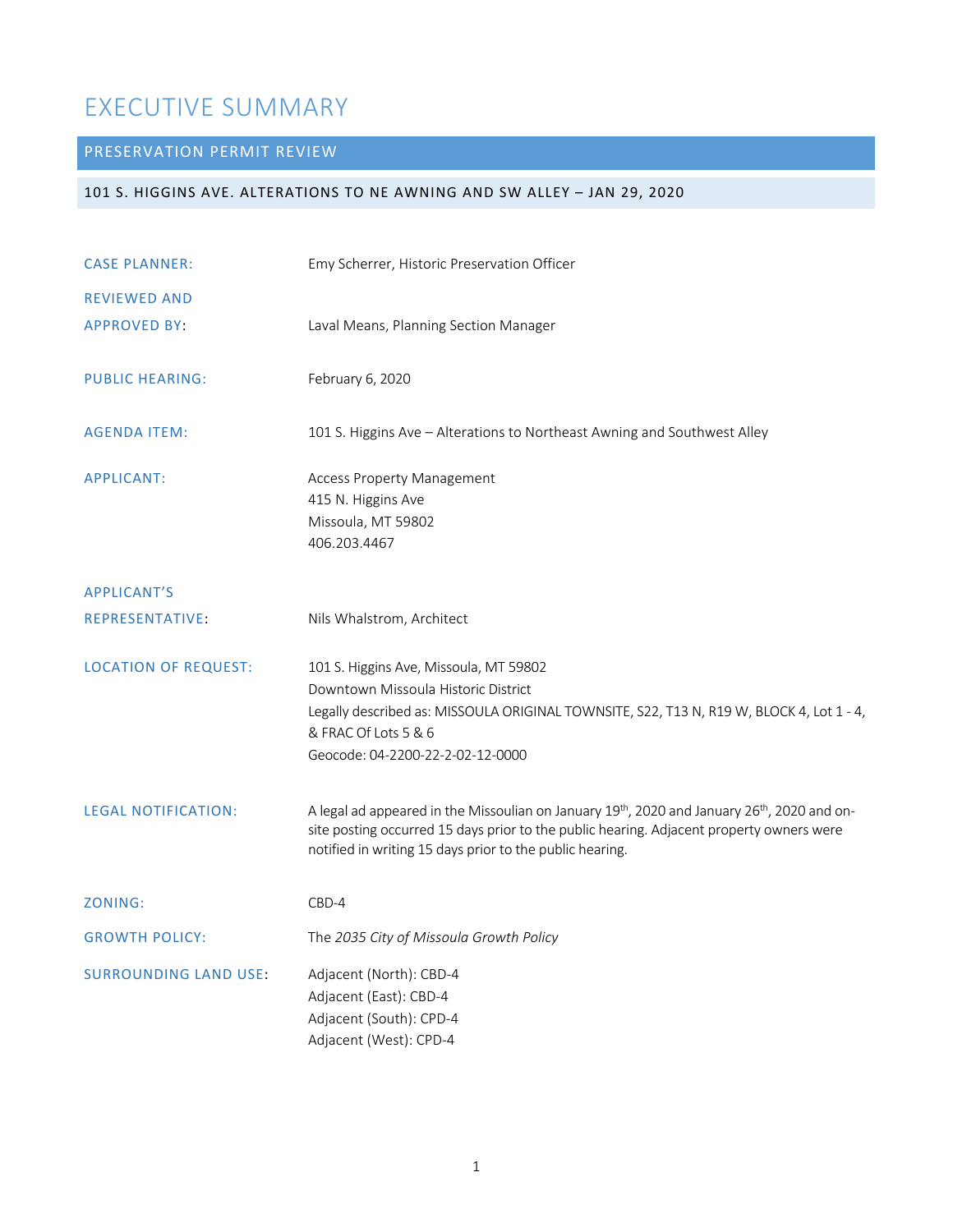# EXECUTIVE SUMMARY

# PRESERVATION PERMIT REVIEW

# 101 S. HIGGINS AVE. ALTERATIONS TO NE AWNING AND SW ALLEY – JAN 29, 2020

| <b>CASE PLANNER:</b>         | Emy Scherrer, Historic Preservation Officer                                                                                                                                                                                                                                  |
|------------------------------|------------------------------------------------------------------------------------------------------------------------------------------------------------------------------------------------------------------------------------------------------------------------------|
| <b>REVIEWED AND</b>          |                                                                                                                                                                                                                                                                              |
| <b>APPROVED BY:</b>          | Laval Means, Planning Section Manager                                                                                                                                                                                                                                        |
| <b>PUBLIC HEARING:</b>       | February 6, 2020                                                                                                                                                                                                                                                             |
| <b>AGENDA ITEM:</b>          | 101 S. Higgins Ave - Alterations to Northeast Awning and Southwest Alley                                                                                                                                                                                                     |
| <b>APPLICANT:</b>            | <b>Access Property Management</b><br>415 N. Higgins Ave<br>Missoula, MT 59802<br>406.203.4467                                                                                                                                                                                |
| <b>APPLICANT'S</b>           |                                                                                                                                                                                                                                                                              |
| REPRESENTATIVE:              | Nils Whalstrom, Architect                                                                                                                                                                                                                                                    |
| <b>LOCATION OF REQUEST:</b>  | 101 S. Higgins Ave, Missoula, MT 59802<br>Downtown Missoula Historic District<br>Legally described as: MISSOULA ORIGINAL TOWNSITE, S22, T13 N, R19 W, BLOCK 4, Lot 1 - 4,<br>& FRAC Of Lots 5 & 6<br>Geocode: 04-2200-22-2-02-12-0000                                        |
| <b>LEGAL NOTIFICATION:</b>   | A legal ad appeared in the Missoulian on January 19 <sup>th</sup> , 2020 and January 26 <sup>th</sup> , 2020 and on-<br>site posting occurred 15 days prior to the public hearing. Adjacent property owners were<br>notified in writing 15 days prior to the public hearing. |
| ZONING:                      | CBD-4                                                                                                                                                                                                                                                                        |
| <b>GROWTH POLICY:</b>        | The 2035 City of Missoula Growth Policy                                                                                                                                                                                                                                      |
| <b>SURROUNDING LAND USE:</b> | Adjacent (North): CBD-4<br>Adjacent (East): CBD-4<br>Adjacent (South): CPD-4<br>Adjacent (West): CPD-4                                                                                                                                                                       |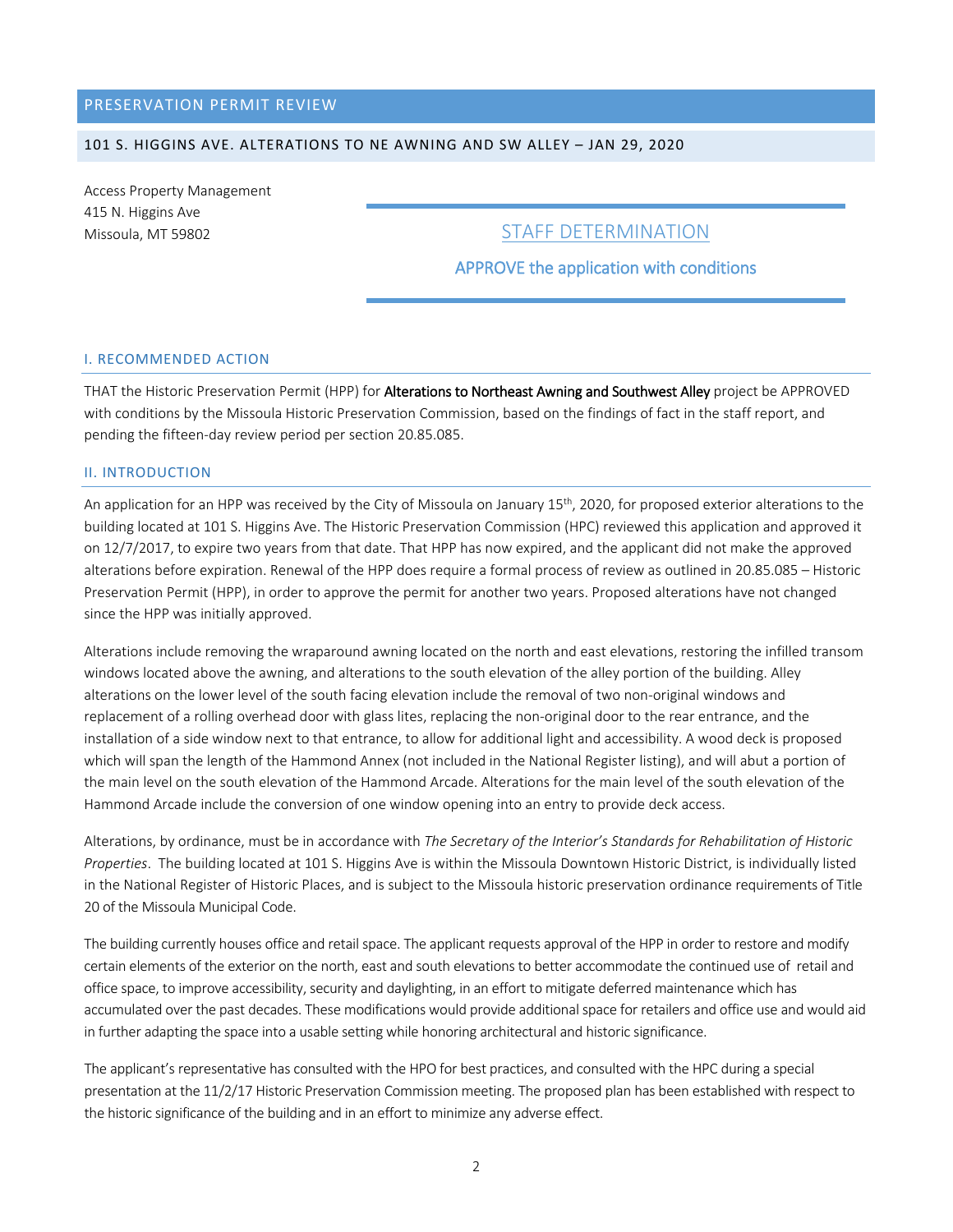# PRESERVATION PERMIT REVIEW

# 101 S. HIGGINS AVE. ALTERATIONS TO NE AWNING AND SW ALLEY – JAN 29, 2020

Access Property Management 415 N. Higgins Ave Missoula, MT 59802

# STAFF DETERMINATION

# APPROVE the application with conditions

#### I. RECOMMENDED ACTION

THAT the Historic Preservation Permit (HPP) for Alterations to Northeast Awning and Southwest Alley project be APPROVED with conditions by the Missoula Historic Preservation Commission, based on the findings of fact in the staff report, and pending the fifteen-day review period per section 20.85.085.

#### II. INTRODUCTION

An application for an HPP was received by the City of Missoula on January 15<sup>th</sup>, 2020, for proposed exterior alterations to the building located at 101 S. Higgins Ave. The Historic Preservation Commission (HPC) reviewed this application and approved it on 12/7/2017, to expire two years from that date. That HPP has now expired, and the applicant did not make the approved alterations before expiration. Renewal of the HPP does require a formal process of review as outlined in 20.85.085 – Historic Preservation Permit (HPP), in order to approve the permit for another two years. Proposed alterations have not changed since the HPP was initially approved.

Alterations include removing the wraparound awning located on the north and east elevations, restoring the infilled transom windows located above the awning, and alterations to the south elevation of the alley portion of the building. Alley alterations on the lower level of the south facing elevation include the removal of two non-original windows and replacement of a rolling overhead door with glass lites, replacing the non-original door to the rear entrance, and the installation of a side window next to that entrance, to allow for additional light and accessibility. A wood deck is proposed which will span the length of the Hammond Annex (not included in the National Register listing), and will abut a portion of the main level on the south elevation of the Hammond Arcade. Alterations for the main level of the south elevation of the Hammond Arcade include the conversion of one window opening into an entry to provide deck access.

Alterations, by ordinance, must be in accordance with *The Secretary of the Interior's Standards for Rehabilitation of Historic Properties*. The building located at 101 S. Higgins Ave is within the Missoula Downtown Historic District, is individually listed in the National Register of Historic Places, and is subject to the Missoula historic preservation ordinance requirements of Title 20 of the Missoula Municipal Code.

The building currently houses office and retail space. The applicant requests approval of the HPP in order to restore and modify certain elements of the exterior on the north, east and south elevationsto better accommodate the continued use of retail and office space, to improve accessibility, security and daylighting, in an effort to mitigate deferred maintenance which has accumulated over the past decades. These modifications would provide additional space for retailers and office use and would aid in further adapting the space into a usable setting while honoring architectural and historic significance.

The applicant's representative has consulted with the HPO for best practices, and consulted with the HPC during a special presentation at the 11/2/17 Historic Preservation Commission meeting. The proposed plan has been established with respect to the historic significance of the building and in an effort to minimize any adverse effect.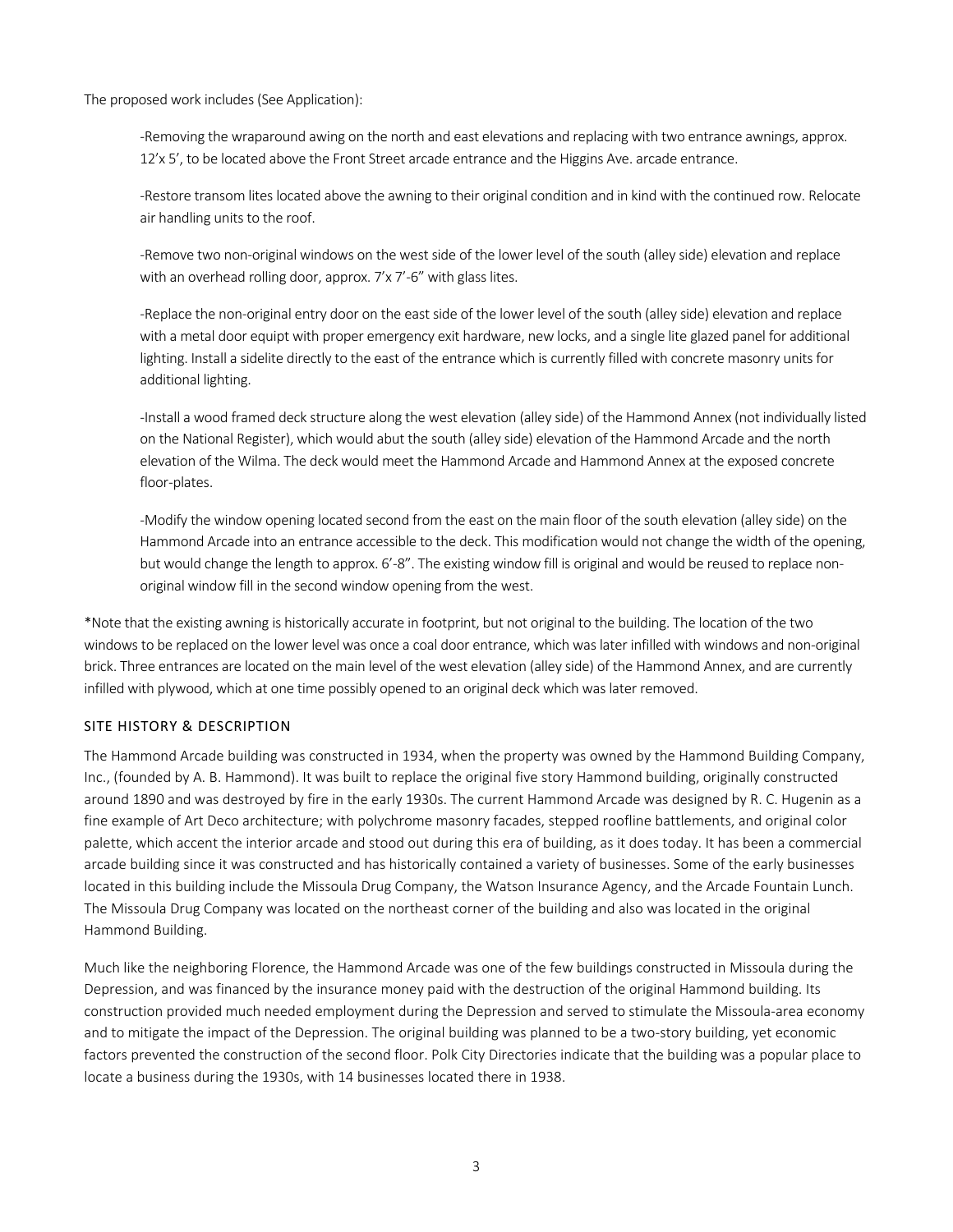The proposed work includes (See Application):

-Removing the wraparound awing on the north and east elevations and replacing with two entrance awnings, approx. 12'x 5', to be located above the Front Street arcade entrance and the Higgins Ave. arcade entrance.

-Restore transom lites located above the awning to their original condition and in kind with the continued row. Relocate air handling units to the roof.

-Remove two non-original windows on the west side of the lower level of the south (alley side) elevation and replace with an overhead rolling door, approx. 7'x 7'-6" with glass lites.

-Replace the non-original entry door on the east side of the lower level of the south (alley side) elevation and replace with a metal door equipt with proper emergency exit hardware, new locks, and a single lite glazed panel for additional lighting. Install a sidelite directly to the east of the entrance which is currently filled with concrete masonry units for additional lighting.

-Install a wood framed deck structure along the west elevation (alley side) of the Hammond Annex (not individually listed on the National Register), which would abut the south (alley side) elevation of the Hammond Arcade and the north elevation of the Wilma. The deck would meet the Hammond Arcade and Hammond Annex at the exposed concrete floor-plates.

-Modify the window opening located second from the east on the main floor of the south elevation (alley side) on the Hammond Arcade into an entrance accessible to the deck. This modification would not change the width of the opening, but would change the length to approx. 6'-8". The existing window fill is original and would be reused to replace nonoriginal window fill in the second window opening from the west.

\*Note that the existing awning is historically accurate in footprint, but not original to the building. The location of the two windows to be replaced on the lower level was once a coal door entrance, which was later infilled with windows and non-original brick. Three entrances are located on the main level of the west elevation (alley side) of the Hammond Annex, and are currently infilled with plywood, which at one time possibly opened to an original deck which was later removed.

# SITE HISTORY & DESCRIPTION

The Hammond Arcade building was constructed in 1934, when the property was owned by the Hammond Building Company, Inc., (founded by A. B. Hammond). It was built to replace the original five story Hammond building, originally constructed around 1890 and was destroyed by fire in the early 1930s. The current Hammond Arcade was designed by R. C. Hugenin as a fine example of Art Deco architecture; with polychrome masonry facades, stepped roofline battlements, and original color palette, which accent the interior arcade and stood out during this era of building, as it does today. It has been a commercial arcade building since it was constructed and has historically contained a variety of businesses. Some of the early businesses located in this building include the Missoula Drug Company, the Watson Insurance Agency, and the Arcade Fountain Lunch. The Missoula Drug Company was located on the northeast corner of the building and also was located in the original Hammond Building.

Much like the neighboring Florence, the Hammond Arcade was one of the few buildings constructed in Missoula during the Depression, and was financed by the insurance money paid with the destruction of the original Hammond building. Its construction provided much needed employment during the Depression and served to stimulate the Missoula-area economy and to mitigate the impact of the Depression. The original building was planned to be a two-story building, yet economic factors prevented the construction of the second floor. Polk City Directories indicate that the building was a popular place to locate a business during the 1930s, with 14 businesses located there in 1938.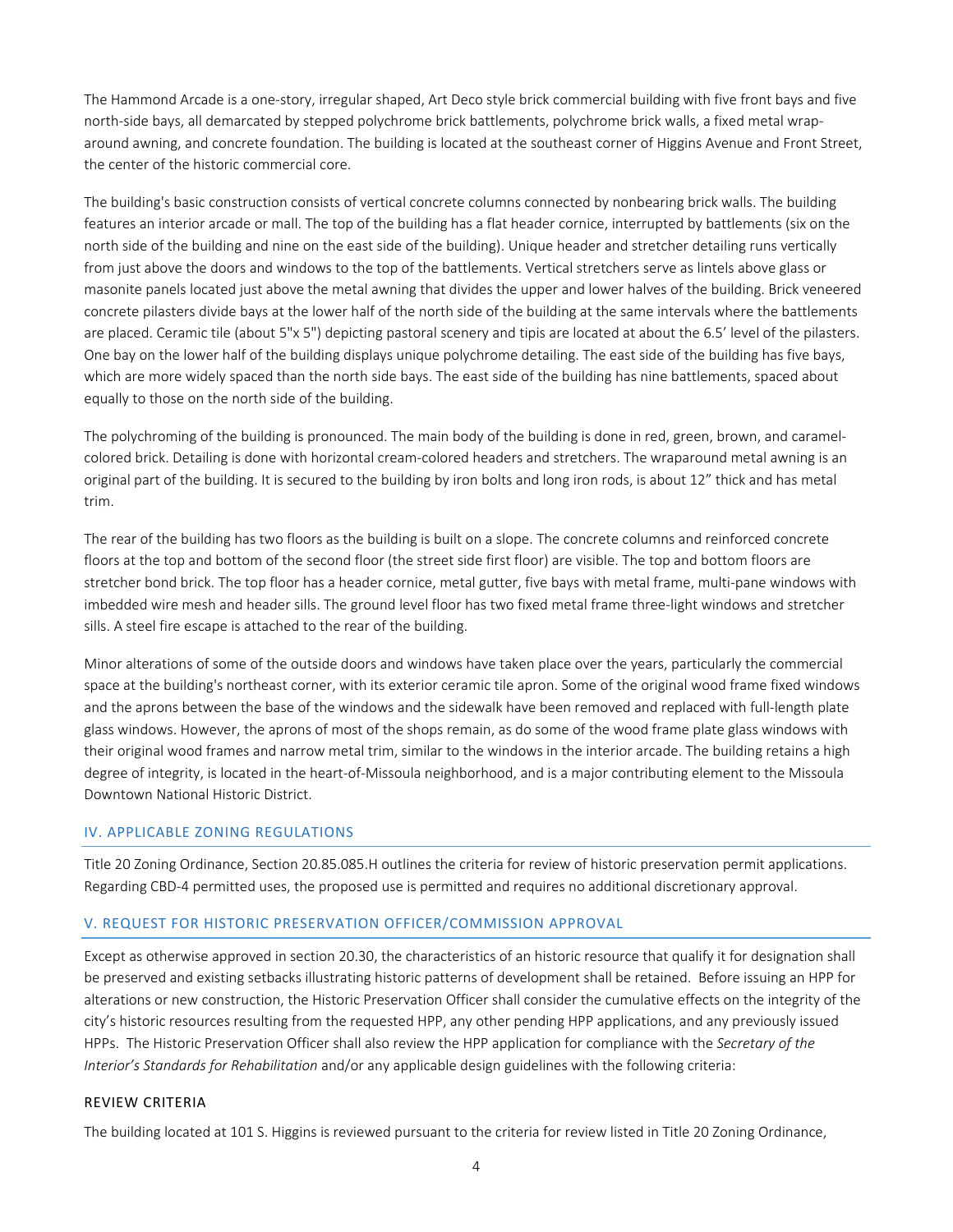The Hammond Arcade is a one-story, irregular shaped, Art Deco style brick commercial building with five front bays and five north-side bays, all demarcated by stepped polychrome brick battlements, polychrome brick walls, a fixed metal wraparound awning, and concrete foundation. The building is located at the southeast corner of Higgins Avenue and Front Street, the center of the historic commercial core.

The building's basic construction consists of vertical concrete columns connected by nonbearing brick walls. The building features an interior arcade or mall. The top of the building has a flat header cornice, interrupted by battlements (six on the north side of the building and nine on the east side of the building). Unique header and stretcher detailing runs vertically from just above the doors and windows to the top of the battlements. Vertical stretchers serve as lintels above glass or masonite panels located just above the metal awning that divides the upper and lower halves of the building. Brick veneered concrete pilasters divide bays at the lower half of the north side of the building at the same intervals where the battlements are placed. Ceramic tile (about 5"x 5") depicting pastoral scenery and tipis are located at about the 6.5' level of the pilasters. One bay on the lower half of the building displays unique polychrome detailing. The east side of the building has five bays, which are more widely spaced than the north side bays. The east side of the building has nine battlements, spaced about equally to those on the north side of the building.

The polychroming of the building is pronounced. The main body of the building is done in red, green, brown, and caramelcolored brick. Detailing is done with horizontal cream-colored headers and stretchers. The wraparound metal awning is an original part of the building. It is secured to the building by iron bolts and long iron rods, is about 12" thick and has metal trim.

The rear of the building has two floors as the building is built on a slope. The concrete columns and reinforced concrete floors at the top and bottom of the second floor (the street side first floor) are visible. The top and bottom floors are stretcher bond brick. The top floor has a header cornice, metal gutter, five bays with metal frame, multi-pane windows with imbedded wire mesh and header sills. The ground level floor has two fixed metal frame three-light windows and stretcher sills. A steel fire escape is attached to the rear of the building.

Minor alterations of some of the outside doors and windows have taken place over the years, particularly the commercial space at the building's northeast corner, with its exterior ceramic tile apron. Some of the original wood frame fixed windows and the aprons between the base of the windows and the sidewalk have been removed and replaced with full-length plate glass windows. However, the aprons of most of the shops remain, as do some of the wood frame plate glass windows with their original wood frames and narrow metal trim, similar to the windows in the interior arcade. The building retains a high degree of integrity, is located in the heart-of-Missoula neighborhood, and is a major contributing element to the Missoula Downtown National Historic District.

#### IV. APPLICABLE ZONING REGULATIONS

Title 20 Zoning Ordinance, Section 20.85.085.H outlines the criteria for review of historic preservation permit applications. Regarding CBD-4 permitted uses, the proposed use is permitted and requires no additional discretionary approval.

#### V. REQUEST FOR HISTORIC PRESERVATION OFFICER/COMMISSION APPROVAL

Except as otherwise approved in section 20.30, the characteristics of an historic resource that qualify it for designation shall be preserved and existing setbacks illustrating historic patterns of development shall be retained. Before issuing an HPP for alterations or new construction, the Historic Preservation Officer shall consider the cumulative effects on the integrity of the city's historic resources resulting from the requested HPP, any other pending HPP applications, and any previously issued HPPs. The Historic Preservation Officer shall also review the HPP application for compliance with the *Secretary of the Interior's Standards for Rehabilitation* and/or any applicable design guidelines with the following criteria:

# REVIEW CRITERIA

The building located at 101 S. Higgins is reviewed pursuant to the criteria for review listed in Title 20 Zoning Ordinance,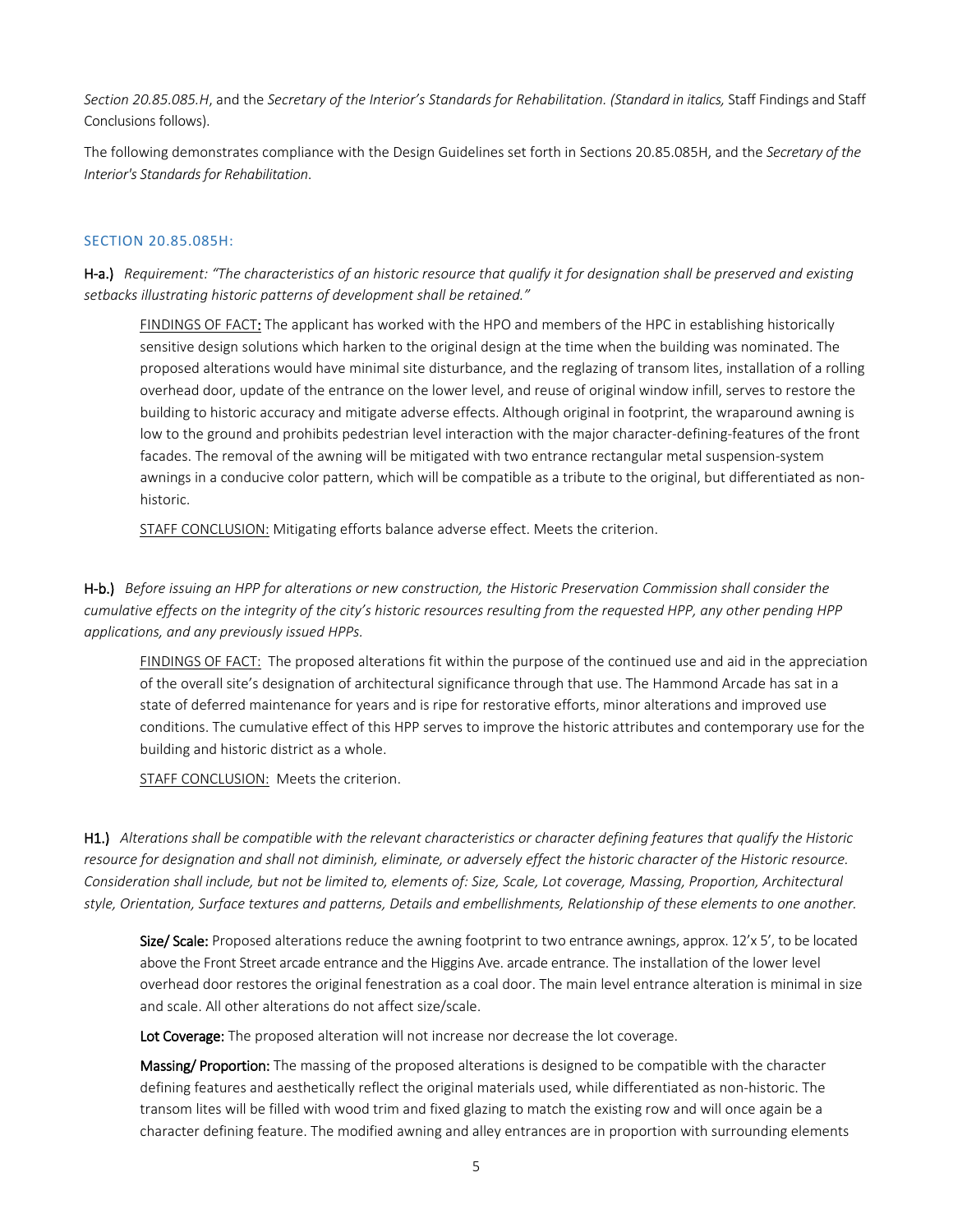Section 20.85.085.H, and the *Secretary of the Interior's Standards for Rehabilitation. (Standard in italics, Staff Findings and Staff* Conclusions follows).

The following demonstrates compliance with the Design Guidelines set forth in Sections 20.85.085H, and the *Secretary of the Interior's Standards for Rehabilitation*.

## SECTION 20.85.085H:

H-a.) *Requirement: "The characteristics of an historic resource that qualify it for designation shall be preserved and existing setbacks illustrating historic patterns of development shall be retained."*

FINDINGS OF FACT: The applicant has worked with the HPO and members of the HPC in establishing historically sensitive design solutions which harken to the original design at the time when the building was nominated. The proposed alterations would have minimal site disturbance, and the reglazing of transom lites, installation of a rolling overhead door, update of the entrance on the lower level, and reuse of original window infill, serves to restore the building to historic accuracy and mitigate adverse effects. Although original in footprint, the wraparound awning is low to the ground and prohibits pedestrian level interaction with the major character-defining-features of the front facades. The removal of the awning will be mitigated with two entrance rectangular metal suspension-system awnings in a conducive color pattern, which will be compatible as a tribute to the original, but differentiated as nonhistoric.

STAFF CONCLUSION: Mitigating efforts balance adverse effect. Meets the criterion.

H-b.) *Before issuing an HPP for alterations or new construction, the Historic Preservation Commission shall consider the cumulative effects on the integrity of the city's historic resources resulting from the requested HPP, any other pending HPP applications, and any previously issued HPPs.*

FINDINGS OF FACT: The proposed alterations fit within the purpose of the continued use and aid in the appreciation of the overall site's designation of architectural significance through that use. The Hammond Arcade has sat in a state of deferred maintenance for years and is ripe for restorative efforts, minor alterations and improved use conditions. The cumulative effect of this HPP serves to improve the historic attributes and contemporary use for the building and historic district as a whole.

STAFF CONCLUSION: Meets the criterion.

H1.) *Alterations shall be compatible with the relevant characteristics or character defining features that qualify the Historic resource for designation and shall not diminish, eliminate, or adversely effect the historic character of the Historic resource. Consideration shall include, but not be limited to, elements of: Size, Scale, Lot coverage, Massing, Proportion, Architectural style, Orientation, Surface textures and patterns, Details and embellishments, Relationship of these elements to one another.* 

Size/ Scale: Proposed alterations reduce the awning footprint to two entrance awnings, approx. 12'x 5', to be located above the Front Street arcade entrance and the Higgins Ave. arcade entrance. The installation of the lower level overhead door restores the original fenestration as a coal door. The main level entrance alteration is minimal in size and scale. All other alterations do not affect size/scale.

Lot Coverage: The proposed alteration will not increase nor decrease the lot coverage.

Massing/ Proportion: The massing of the proposed alterations is designed to be compatible with the character defining features and aesthetically reflect the original materials used, while differentiated as non-historic. The transom lites will be filled with wood trim and fixed glazing to match the existing row and will once again be a character defining feature. The modified awning and alley entrances are in proportion with surrounding elements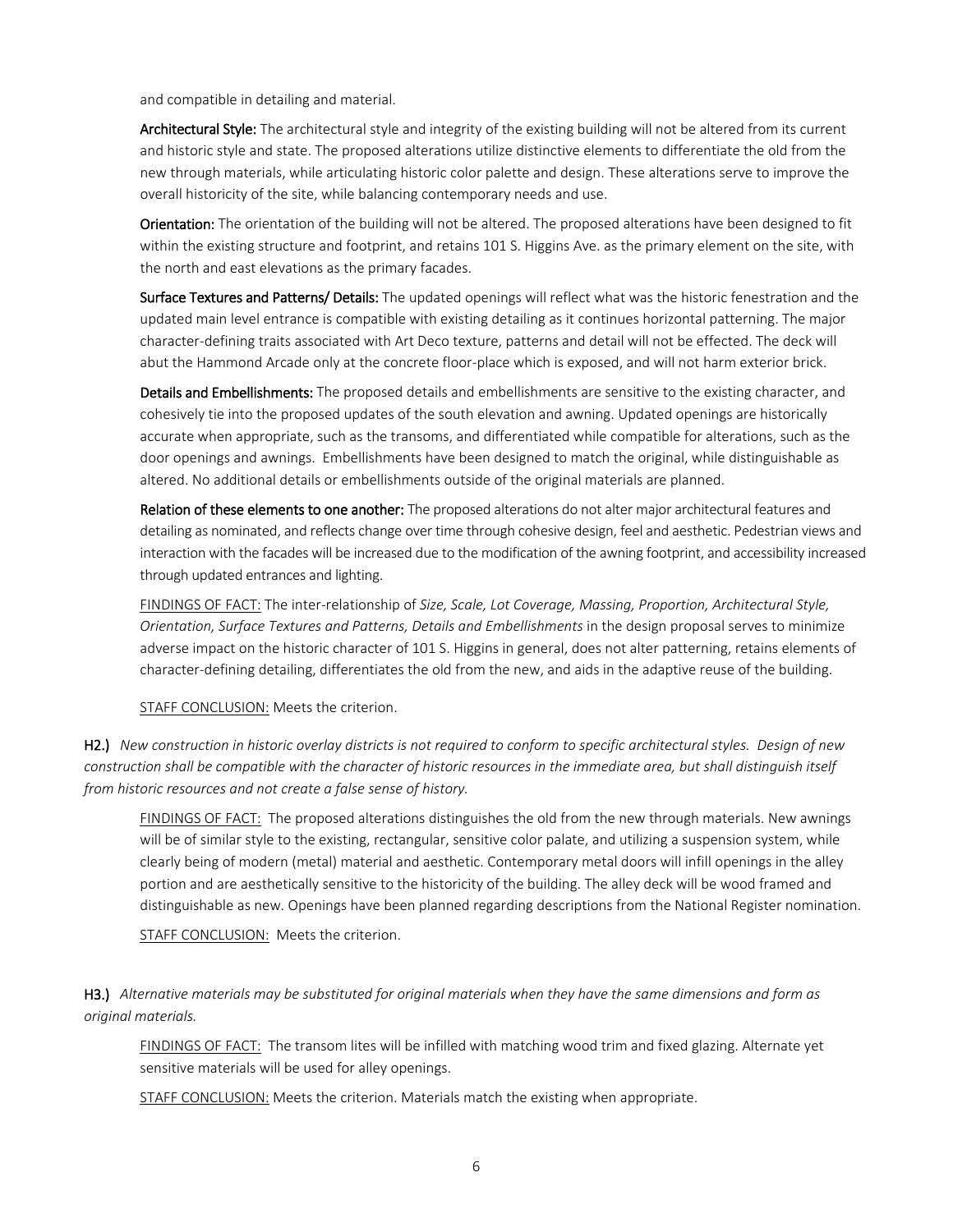and compatible in detailing and material.

Architectural Style: The architectural style and integrity of the existing building will not be altered from its current and historic style and state. The proposed alterations utilize distinctive elements to differentiate the old from the new through materials, while articulating historic color palette and design. These alterations serve to improve the overall historicity of the site, while balancing contemporary needs and use.

Orientation: The orientation of the building will not be altered. The proposed alterations have been designed to fit within the existing structure and footprint, and retains 101 S. Higgins Ave. as the primary element on the site, with the north and east elevations as the primary facades.

Surface Textures and Patterns/ Details: The updated openings will reflect what was the historic fenestration and the updated main level entrance is compatible with existing detailing as it continues horizontal patterning. The major character-defining traits associated with Art Deco texture, patterns and detail will not be effected. The deck will abut the Hammond Arcade only at the concrete floor-place which is exposed, and will not harm exterior brick.

Details and Embellishments: The proposed details and embellishments are sensitive to the existing character, and cohesively tie into the proposed updates of the south elevation and awning. Updated openings are historically accurate when appropriate, such as the transoms, and differentiated while compatible for alterations, such as the door openings and awnings. Embellishments have been designed to match the original, while distinguishable as altered. No additional details or embellishments outside of the original materials are planned.

Relation of these elements to one another: The proposed alterations do not alter major architectural features and detailing as nominated, and reflects change over time through cohesive design, feel and aesthetic. Pedestrian views and interaction with the facades will be increased due to the modification of the awning footprint, and accessibility increased through updated entrances and lighting.

FINDINGS OF FACT: The inter-relationship of *Size, Scale, Lot Coverage, Massing, Proportion, Architectural Style, Orientation, Surface Textures and Patterns, Details and Embellishments* in the design proposal serves to minimize adverse impact on the historic character of 101 S. Higgins in general, does not alter patterning, retains elements of character-defining detailing, differentiates the old from the new, and aids in the adaptive reuse of the building.

STAFF CONCLUSION: Meets the criterion.

H2.) *New construction in historic overlay districts is not required to conform to specific architectural styles. Design of new construction shall be compatible with the character of historic resources in the immediate area, but shall distinguish itself from historic resources and not create a false sense of history.*

FINDINGS OF FACT: The proposed alterations distinguishes the old from the new through materials. New awnings will be of similar style to the existing, rectangular, sensitive color palate, and utilizing a suspension system, while clearly being of modern (metal) material and aesthetic. Contemporary metal doors will infill openings in the alley portion and are aesthetically sensitive to the historicity of the building. The alley deck will be wood framed and distinguishable as new. Openings have been planned regarding descriptions from the National Register nomination.

STAFF CONCLUSION: Meets the criterion.

H3.) *Alternative materials may be substituted for original materials when they have the same dimensions and form as original materials.*

FINDINGS OF FACT: The transom lites will be infilled with matching wood trim and fixed glazing. Alternate yet sensitive materials will be used for alley openings.

STAFF CONCLUSION: Meets the criterion. Materials match the existing when appropriate.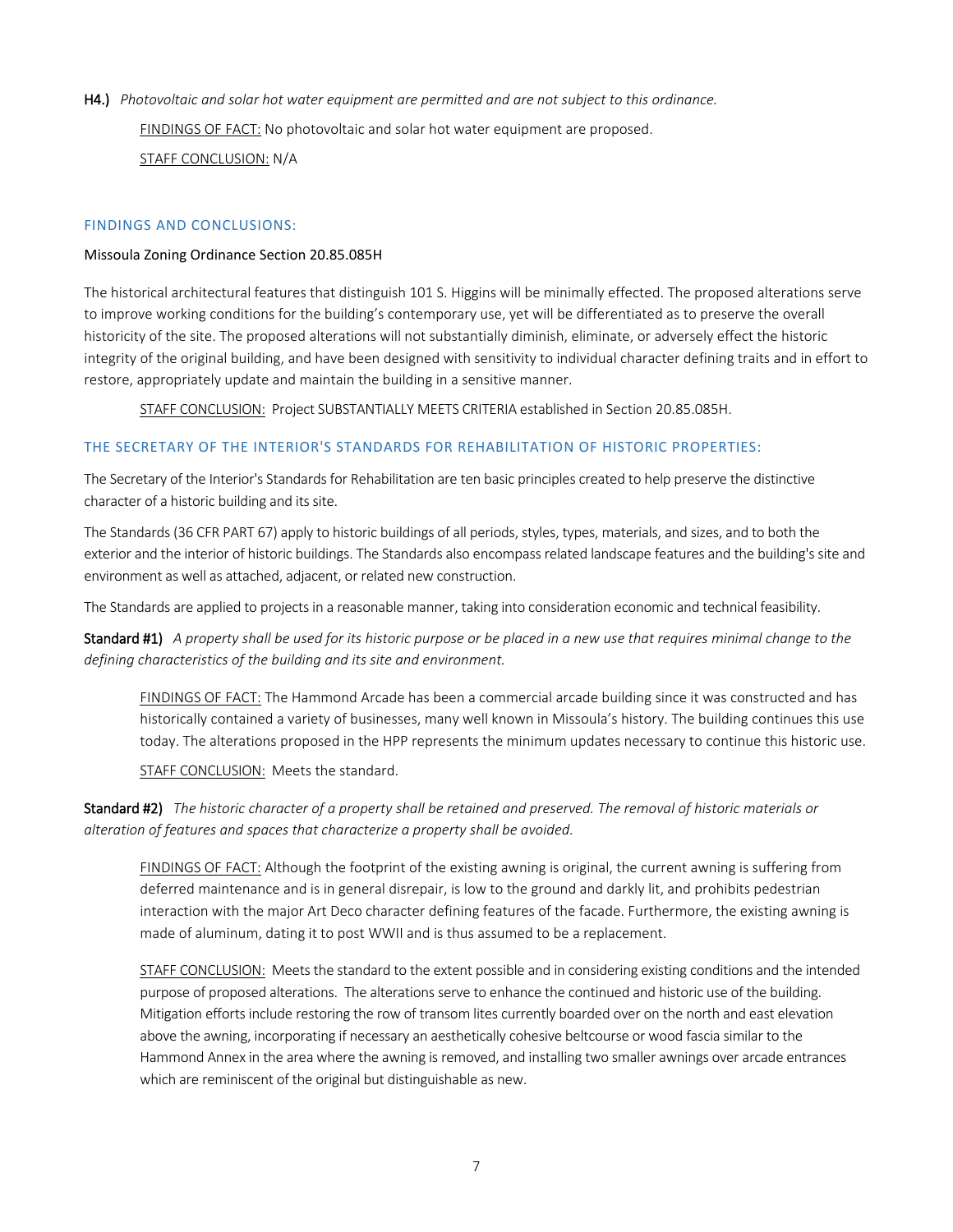H4.) *Photovoltaic and solar hot water equipment are permitted and are not subject to this ordinance.*  FINDINGS OF FACT: No photovoltaic and solar hot water equipment are proposed. STAFF CONCLUSION: N/A

## FINDINGS AND CONCLUSIONS:

#### Missoula Zoning Ordinance Section 20.85.085H

The historical architectural features that distinguish 101 S. Higgins will be minimally effected. The proposed alterations serve to improve working conditions for the building's contemporary use, yet will be differentiated as to preserve the overall historicity of the site. The proposed alterations will not substantially diminish, eliminate, or adversely effect the historic integrity of the original building, and have been designed with sensitivity to individual character defining traits and in effort to restore, appropriately update and maintain the building in a sensitive manner.

STAFF CONCLUSION: Project SUBSTANTIALLY MEETS CRITERIA established in Section 20.85.085H.

#### THE SECRETARY OF THE INTERIOR'S STANDARDS FOR REHABILITATION OF HISTORIC PROPERTIES:

The Secretary of the Interior's Standards for Rehabilitation are ten basic principles created to help preserve the distinctive character of a historic building and its site.

The Standards (36 CFR PART 67) apply to historic buildings of all periods, styles, types, materials, and sizes, and to both the exterior and the interior of historic buildings. The Standards also encompass related landscape features and the building's site and environment as well as attached, adjacent, or related new construction.

The Standards are applied to projects in a reasonable manner, taking into consideration economic and technical feasibility.

Standard #1) *A property shall be used for its historic purpose or be placed in a new use that requires minimal change to the defining characteristics of the building and its site and environment.* 

FINDINGS OF FACT: The Hammond Arcade has been a commercial arcade building since it was constructed and has historically contained a variety of businesses, many well known in Missoula's history. The building continues this use today. The alterations proposed in the HPP represents the minimum updates necessary to continue this historic use.

STAFF CONCLUSION: Meets the standard.

Standard #2) *The historic character of a property shall be retained and preserved. The removal of historic materials or alteration of features and spaces that characterize a property shall be avoided.* 

FINDINGS OF FACT: Although the footprint of the existing awning is original, the current awning is suffering from deferred maintenance and is in general disrepair, is low to the ground and darkly lit, and prohibits pedestrian interaction with the major Art Deco character defining features of the facade. Furthermore, the existing awning is made of aluminum, dating it to post WWII and is thus assumed to be a replacement.

STAFF CONCLUSION: Meets the standard to the extent possible and in considering existing conditions and the intended purpose of proposed alterations. The alterations serve to enhance the continued and historic use of the building. Mitigation efforts include restoring the row of transom lites currently boarded over on the north and east elevation above the awning, incorporating if necessary an aesthetically cohesive beltcourse or wood fascia similar to the Hammond Annex in the area where the awning is removed, and installing two smaller awnings over arcade entrances which are reminiscent of the original but distinguishable as new.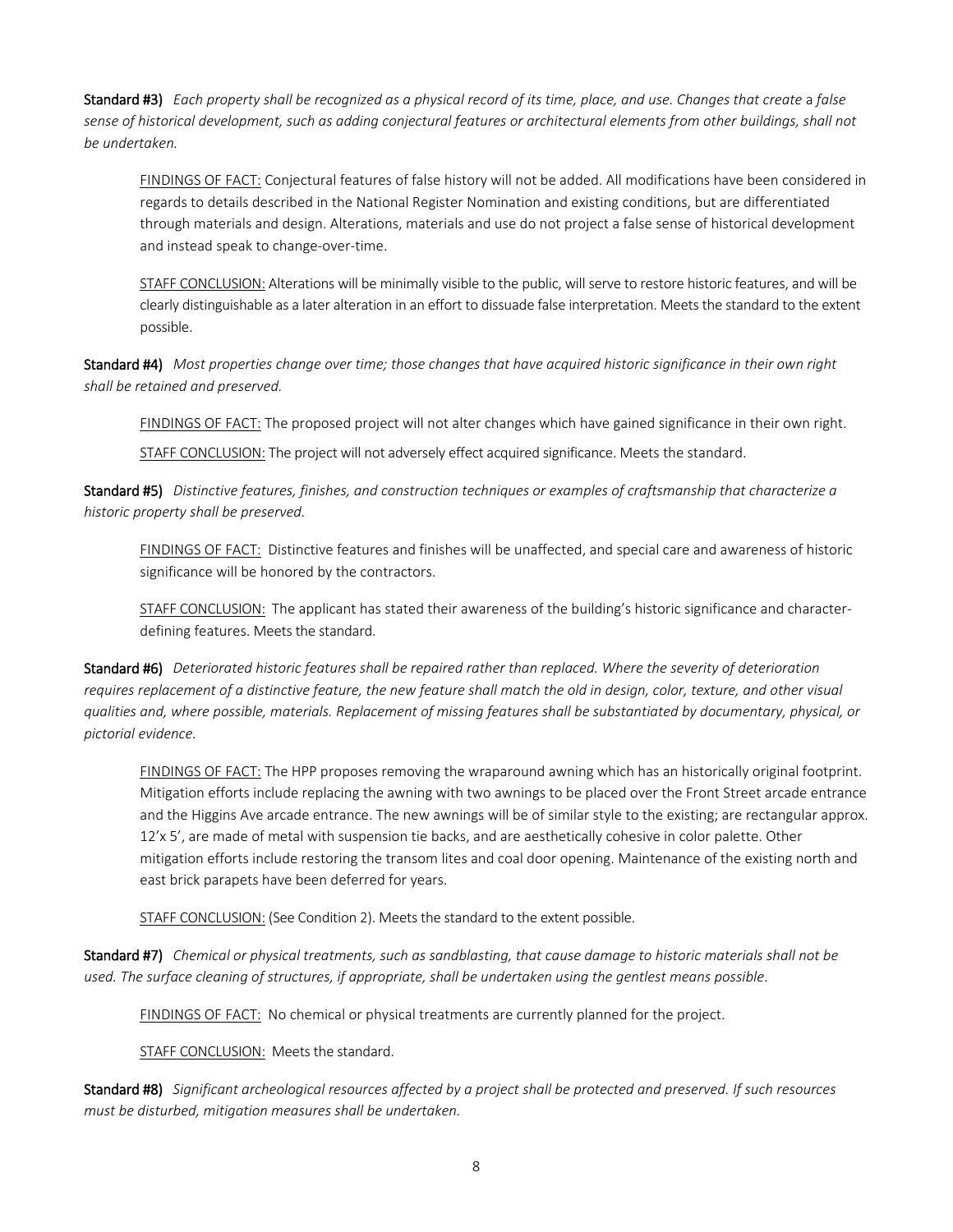Standard #3) *Each property shall be recognized as a physical record of its time, place, and use. Changes that create* a *false sense of historical development, such as adding conjectural features or architectural elements from other buildings, shall not be undertaken.*

FINDINGS OF FACT: Conjectural features of false history will not be added. All modifications have been considered in regards to details described in the National Register Nomination and existing conditions, but are differentiated through materials and design. Alterations, materials and use do not project a false sense of historical development and instead speak to change-over-time.

STAFF CONCLUSION: Alterations will be minimally visible to the public, will serve to restore historic features, and will be clearly distinguishable as a later alteration in an effort to dissuade false interpretation. Meets the standard to the extent possible.

Standard #4) *Most properties change over time; those changes that have acquired historic significance in their own right shall be retained and preserved.* 

FINDINGS OF FACT: The proposed project will not alter changes which have gained significance in their own right.

STAFF CONCLUSION: The project will not adversely effect acquired significance. Meets the standard.

Standard #5) *Distinctive features, finishes, and construction techniques or examples of craftsmanship that characterize a historic property shall be preserved.* 

FINDINGS OF FACT: Distinctive features and finishes will be unaffected, and special care and awareness of historic significance will be honored by the contractors.

STAFF CONCLUSION: The applicant has stated their awareness of the building's historic significance and characterdefining features. Meets the standard.

Standard #6) *Deteriorated historic features shall be repaired rather than replaced. Where the severity of deterioration requires replacement of a distinctive feature, the new feature shall match the old in design, color, texture, and other visual qualities and, where possible, materials. Replacement of missing features shall be substantiated by documentary, physical, or pictorial evidence.* 

FINDINGS OF FACT: The HPP proposes removing the wraparound awning which has an historically original footprint. Mitigation efforts include replacing the awning with two awnings to be placed over the Front Street arcade entrance and the Higgins Ave arcade entrance. The new awnings will be of similar style to the existing; are rectangular approx. 12'x 5', are made of metal with suspension tie backs, and are aesthetically cohesive in color palette. Other mitigation efforts include restoring the transom lites and coal door opening. Maintenance of the existing north and east brick parapets have been deferred for years.

STAFF CONCLUSION: (See Condition 2). Meets the standard to the extent possible.

Standard #7) *Chemical or physical treatments, such as sandblasting, that cause damage to historic materials shall not be used. The surface cleaning of structures, if appropriate, shall be undertaken using the gentlest means possible*.

FINDINGS OF FACT: No chemical or physical treatments are currently planned for the project.

STAFF CONCLUSION: Meets the standard.

Standard #8) *Significant archeological resources affected by a project shall be protected and preserved. If such resources must be disturbed, mitigation measures shall be undertaken.*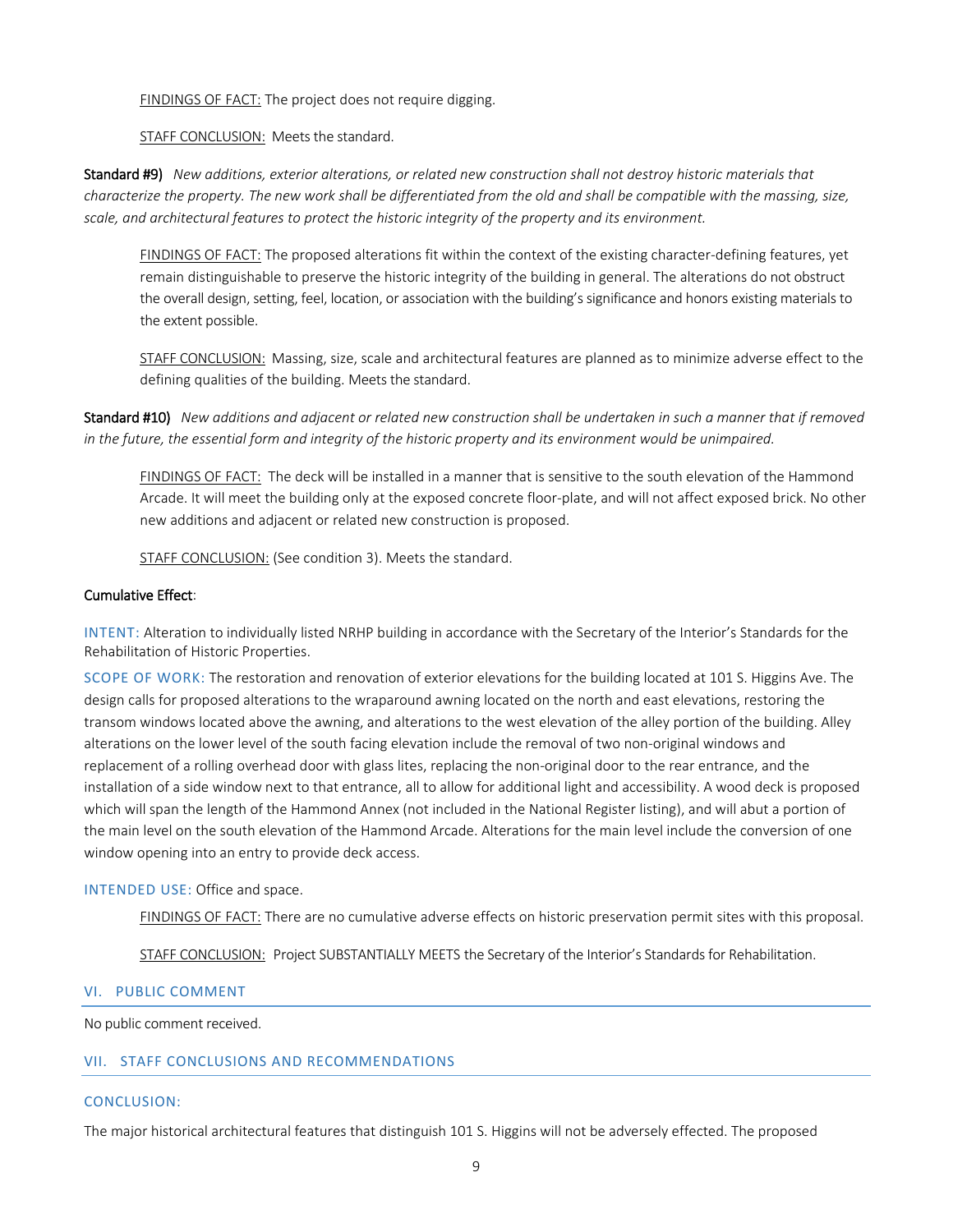FINDINGS OF FACT: The project does not require digging.

## STAFF CONCLUSION: Meets the standard.

Standard #9) *New additions, exterior alterations, or related new construction shall not destroy historic materials that characterize the property. The new work shall be differentiated from the old and shall be compatible with the massing, size, scale, and architectural features to protect the historic integrity of the property and its environment.* 

FINDINGS OF FACT: The proposed alterations fit within the context of the existing character-defining features, yet remain distinguishable to preserve the historic integrity of the building in general. The alterations do not obstruct the overall design, setting, feel, location, or association with the building's significance and honors existing materials to the extent possible.

STAFF CONCLUSION: Massing, size, scale and architectural features are planned as to minimize adverse effect to the defining qualities of the building. Meets the standard.

Standard #10) *New additions and adjacent or related new construction shall be undertaken in such a manner that if removed in the future, the essential form and integrity of the historic property and its environment would be unimpaired.*

FINDINGS OF FACT: The deck will be installed in a manner that is sensitive to the south elevation of the Hammond Arcade. It will meet the building only at the exposed concrete floor-plate, and will not affect exposed brick. No other new additions and adjacent or related new construction is proposed.

STAFF CONCLUSION: (See condition 3). Meets the standard.

### Cumulative Effect:

INTENT: Alteration to individually listed NRHP building in accordance with the Secretary of the Interior's Standards for the Rehabilitation of Historic Properties.

SCOPE OF WORK: The restoration and renovation of exterior elevations for the building located at 101 S. Higgins Ave. The design calls for proposed alterations to the wraparound awning located on the north and east elevations, restoring the transom windows located above the awning, and alterations to the west elevation of the alley portion of the building. Alley alterations on the lower level of the south facing elevation include the removal of two non-original windows and replacement of a rolling overhead door with glass lites, replacing the non-original door to the rear entrance, and the installation of a side window next to that entrance, all to allow for additional light and accessibility. A wood deck is proposed which will span the length of the Hammond Annex (not included in the National Register listing), and will abut a portion of the main level on the south elevation of the Hammond Arcade. Alterations for the main level include the conversion of one window opening into an entry to provide deck access.

#### INTENDED USE: Office and space.

FINDINGS OF FACT: There are no cumulative adverse effects on historic preservation permit sites with this proposal.

STAFF CONCLUSION: Project SUBSTANTIALLY MEETS the Secretary of the Interior's Standards for Rehabilitation.

### VI. PUBLIC COMMENT

No public comment received.

# VII. STAFF CONCLUSIONS AND RECOMMENDATIONS

#### CONCLUSION:

The major historical architectural features that distinguish 101 S. Higgins will not be adversely effected. The proposed